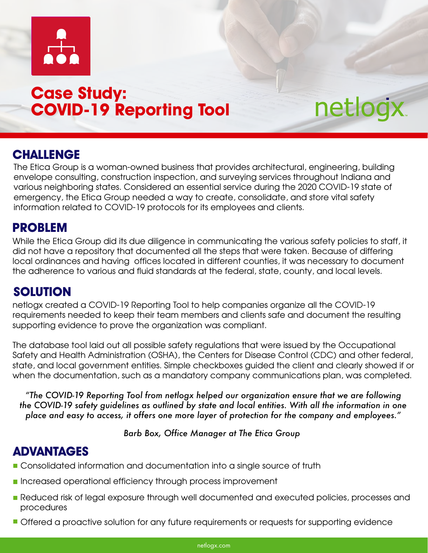

# **Case Study: COVID-19 Reporting Tool**

## **CHALLENGE**

The Etica Group is a woman-owned business that provides architectural, engineering, building envelope consulting, construction inspection, and surveying services throughout Indiana and various neighboring states. Considered an essential service during the 2020 COVID-19 state of emergency, the Etica Group needed a way to create, consolidate, and store vital safety information related to COVID-19 protocols for its employees and clients.

netlogx

#### **PROBLEM**

While the Etica Group did its due diligence in communicating the various safety policies to staff, it did not have a repository that documented all the steps that were taken. Because of differing local ordinances and having offices located in different counties, it was necessary to document the adherence to various and fluid standards at the federal, state, county, and local levels.

## **SOLUTION**

netlogx created a COVID-19 Reporting Tool to help companies organize all the COVID-19 requirements needed to keep their team members and clients safe and document the resulting supporting evidence to prove the organization was compliant.

The database tool laid out all possible safety regulations that were issued by the Occupational Safety and Health Administration (OSHA), the Centers for Disease Control (CDC) and other federal, state, and local government entities. Simple checkboxes guided the client and clearly showed if or when the documentation, such as a mandatory company communications plan, was completed.

*"The COVID-19 Reporting Tool from netlogx helped our organization ensure that we are following the COVID-19 safety guidelines as outlined by state and local entities. With all the information in one place and easy to access, it offers one more layer of protection for the company and employees."* 

*Barb Box, Office Manager at The Etica Group*

#### **ADVANTAGES**

- **Consolidated information and documentation into a single source of truth**
- **Increased operational efficiency through process improvement**
- Reduced risk of legal exposure through well documented and executed policies, processes and procedures
- **Offered a proactive solution for any future requirements or requests for supporting evidence**